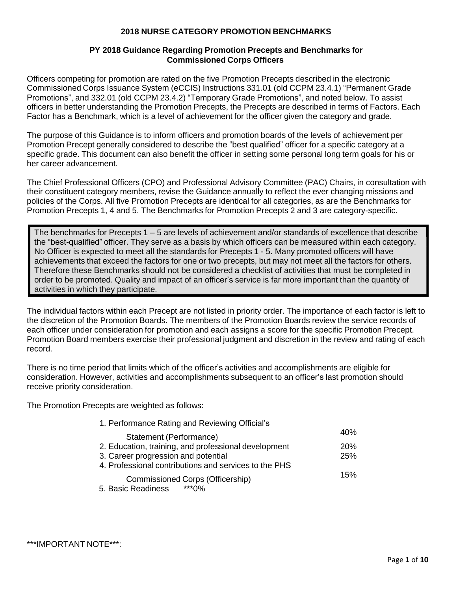## **2018 NURSE CATEGORY PROMOTION BENCHMARKS**

## **PY 2018 Guidance Regarding Promotion Precepts and Benchmarks for Commissioned Corps Officers**

Officers competing for promotion are rated on the five Promotion Precepts described in the electronic Commissioned Corps Issuance System (eCCIS) Instructions 331.01 (old CCPM 23.4.1) "Permanent Grade Promotions", and 332.01 (old CCPM 23.4.2) "Temporary Grade Promotions", and noted below. To assist officers in better understanding the Promotion Precepts, the Precepts are described in terms of Factors. Each Factor has a Benchmark, which is a level of achievement for the officer given the category and grade.

The purpose of this Guidance is to inform officers and promotion boards of the levels of achievement per Promotion Precept generally considered to describe the "best qualified" officer for a specific category at a specific grade. This document can also benefit the officer in setting some personal long term goals for his or her career advancement.

The Chief Professional Officers (CPO) and Professional Advisory Committee (PAC) Chairs, in consultation with their constituent category members, revise the Guidance annually to reflect the ever changing missions and policies of the Corps. All five Promotion Precepts are identical for all categories, as are the Benchmarks for Promotion Precepts 1, 4 and 5. The Benchmarks for Promotion Precepts 2 and 3 are category-specific.

The benchmarks for Precepts 1 – 5 are levels of achievement and/or standards of excellence that describe the "best-qualified" officer. They serve as a basis by which officers can be measured within each category. No Officer is expected to meet all the standards for Precepts 1 - 5. Many promoted officers will have achievements that exceed the factors for one or two precepts, but may not meet all the factors for others. Therefore these Benchmarks should not be considered a checklist of activities that must be completed in order to be promoted. Quality and impact of an officer's service is far more important than the quantity of activities in which they participate.

The individual factors within each Precept are not listed in priority order. The importance of each factor is left to the discretion of the Promotion Boards. The members of the Promotion Boards review the service records of each officer under consideration for promotion and each assigns a score for the specific Promotion Precept. Promotion Board members exercise their professional judgment and discretion in the review and rating of each record.

There is no time period that limits which of the officer's activities and accomplishments are eligible for consideration. However, activities and accomplishments subsequent to an officer's last promotion should receive priority consideration.

The Promotion Precepts are weighted as follows:

| 1. Performance Rating and Reviewing Official's        |            |
|-------------------------------------------------------|------------|
| Statement (Performance)                               | 40%        |
| 2. Education, training, and professional development  | <b>20%</b> |
| 3. Career progression and potential                   | 25%        |
| 4. Professional contributions and services to the PHS |            |
| Commissioned Corps (Officership)                      | 15%        |
| $***0\%$<br>5. Basic Readiness                        |            |

\*\*\*IMPORTANT NOTE\*\*\*: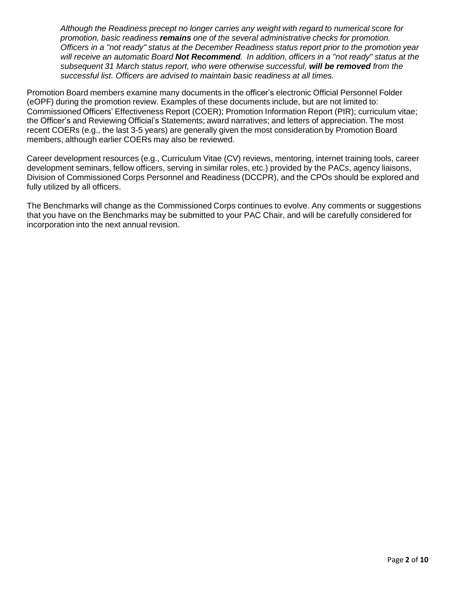*Although the Readiness precept no longer carries any weight with regard to numerical score for promotion, basic readiness remains one of the several administrative checks for promotion. Officers in a "not ready" status at the December Readiness status report prior to the promotion year will receive an automatic Board Not Recommend. In addition, officers in a "not ready" status at the subsequent 31 March status report, who were otherwise successful, will be removed from the successful list. Officers are advised to maintain basic readiness at all times.*

Promotion Board members examine many documents in the officer's electronic Official Personnel Folder (eOPF) during the promotion review. Examples of these documents include, but are not limited to: Commissioned Officers' Effectiveness Report (COER); Promotion Information Report (PIR); curriculum vitae; the Officer's and Reviewing Official's Statements; award narratives; and letters of appreciation. The most recent COERs (e.g., the last 3-5 years) are generally given the most consideration by Promotion Board members, although earlier COERs may also be reviewed.

Career development resources (e.g., Curriculum Vitae (CV) reviews, mentoring, internet training tools, career development seminars, fellow officers, serving in similar roles, etc.) provided by the PACs, agency liaisons, Division of Commissioned Corps Personnel and Readiness (DCCPR), and the CPOs should be explored and fully utilized by all officers.

The Benchmarks will change as the Commissioned Corps continues to evolve. Any comments or suggestions that you have on the Benchmarks may be submitted to your PAC Chair, and will be carefully considered for incorporation into the next annual revision.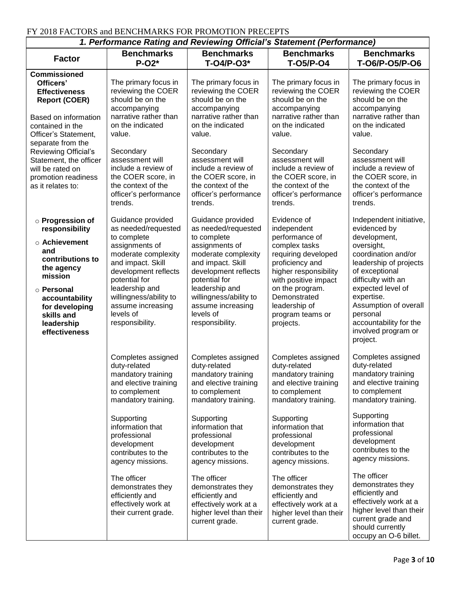## FY 2018 FACTORS and BENCHMARKS FOR PROMOTION PRECEPTS

| 1. Performance Rating and Reviewing Official's Statement (Performance)                                                                                                                                                                                                                      |                                                                                                                                                                                                                                                                              |                                                                                                                                                                                                                                                                              |                                                                                                                                                                                                                                                                              |                                                                                                                                                                                                                                                                                                     |  |
|---------------------------------------------------------------------------------------------------------------------------------------------------------------------------------------------------------------------------------------------------------------------------------------------|------------------------------------------------------------------------------------------------------------------------------------------------------------------------------------------------------------------------------------------------------------------------------|------------------------------------------------------------------------------------------------------------------------------------------------------------------------------------------------------------------------------------------------------------------------------|------------------------------------------------------------------------------------------------------------------------------------------------------------------------------------------------------------------------------------------------------------------------------|-----------------------------------------------------------------------------------------------------------------------------------------------------------------------------------------------------------------------------------------------------------------------------------------------------|--|
| <b>Factor</b>                                                                                                                                                                                                                                                                               | <b>Benchmarks</b><br>$P-O2*$                                                                                                                                                                                                                                                 | <b>Benchmarks</b><br>$T-O4/P-O3*$                                                                                                                                                                                                                                            | <b>Benchmarks</b><br><b>T-05/P-04</b>                                                                                                                                                                                                                                        | <b>Benchmarks</b><br>T-06/P-05/P-06                                                                                                                                                                                                                                                                 |  |
| <b>Commissioned</b><br>Officers'<br><b>Effectiveness</b><br><b>Report (COER)</b><br>Based on information<br>contained in the<br>Officer's Statement,<br>separate from the<br>Reviewing Official's<br>Statement, the officer<br>will be rated on<br>promotion readiness<br>as it relates to: | The primary focus in<br>reviewing the COER<br>should be on the<br>accompanying<br>narrative rather than<br>on the indicated<br>value.<br>Secondary<br>assessment will<br>include a review of<br>the COER score, in<br>the context of the<br>officer's performance<br>trends. | The primary focus in<br>reviewing the COER<br>should be on the<br>accompanying<br>narrative rather than<br>on the indicated<br>value.<br>Secondary<br>assessment will<br>include a review of<br>the COER score, in<br>the context of the<br>officer's performance<br>trends. | The primary focus in<br>reviewing the COER<br>should be on the<br>accompanying<br>narrative rather than<br>on the indicated<br>value.<br>Secondary<br>assessment will<br>include a review of<br>the COER score, in<br>the context of the<br>officer's performance<br>trends. | The primary focus in<br>reviewing the COER<br>should be on the<br>accompanying<br>narrative rather than<br>on the indicated<br>value.<br>Secondary<br>assessment will<br>include a review of<br>the COER score, in<br>the context of the<br>officer's performance<br>trends.                        |  |
| o Progression of<br>responsibility<br>○ Achievement<br>and<br>contributions to<br>the agency<br>mission<br>○ Personal<br>accountability<br>for developing<br>skills and<br>leadership<br>effectiveness                                                                                      | Guidance provided<br>as needed/requested<br>to complete<br>assignments of<br>moderate complexity<br>and impact. Skill<br>development reflects<br>potential for<br>leadership and<br>willingness/ability to<br>assume increasing<br>levels of<br>responsibility.              | Guidance provided<br>as needed/requested<br>to complete<br>assignments of<br>moderate complexity<br>and impact. Skill<br>development reflects<br>potential for<br>leadership and<br>willingness/ability to<br>assume increasing<br>levels of<br>responsibility.              | Evidence of<br>independent<br>performance of<br>complex tasks<br>requiring developed<br>proficiency and<br>higher responsibility<br>with positive impact<br>on the program.<br>Demonstrated<br>leadership of<br>program teams or<br>projects.                                | Independent initiative,<br>evidenced by<br>development,<br>oversight,<br>coordination and/or<br>leadership of projects<br>of exceptional<br>difficulty with an<br>expected level of<br>expertise.<br>Assumption of overall<br>personal<br>accountability for the<br>involved program or<br>project. |  |
|                                                                                                                                                                                                                                                                                             | Completes assigned<br>duty-related<br>mandatory training<br>and elective training<br>to complement<br>mandatory training.<br>Supporting<br>information that<br>professional<br>development<br>contributes to the<br>agency missions.                                         | Completes assigned<br>duty-related<br>mandatory training<br>and elective training<br>to complement<br>mandatory training.<br>Supporting<br>information that<br>professional<br>development<br>contributes to the<br>agency missions.                                         | Completes assigned<br>duty-related<br>mandatory training<br>and elective training<br>to complement<br>mandatory training.<br>Supporting<br>information that<br>professional<br>development<br>contributes to the<br>agency missions.                                         | Completes assigned<br>duty-related<br>mandatory training<br>and elective training<br>to complement<br>mandatory training.<br>Supporting<br>information that<br>professional<br>development<br>contributes to the<br>agency missions.<br>The officer                                                 |  |
|                                                                                                                                                                                                                                                                                             | The officer<br>demonstrates they<br>efficiently and<br>effectively work at<br>their current grade.                                                                                                                                                                           | The officer<br>demonstrates they<br>efficiently and<br>effectively work at a<br>higher level than their<br>current grade.                                                                                                                                                    | The officer<br>demonstrates they<br>efficiently and<br>effectively work at a<br>higher level than their<br>current grade.                                                                                                                                                    | demonstrates they<br>efficiently and<br>effectively work at a<br>higher level than their<br>current grade and<br>should currently<br>occupy an O-6 billet.                                                                                                                                          |  |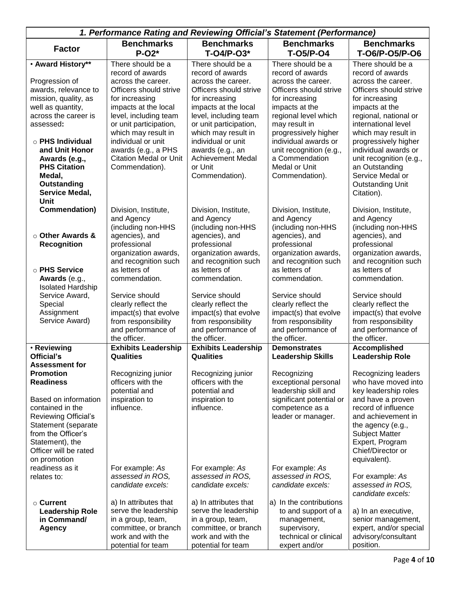| 1. Performance Rating and Reviewing Official's Statement (Performance) |                                                 |                                                 |                                           |                                               |  |
|------------------------------------------------------------------------|-------------------------------------------------|-------------------------------------------------|-------------------------------------------|-----------------------------------------------|--|
|                                                                        | <b>Benchmarks</b>                               | <b>Benchmarks</b>                               | <b>Benchmarks</b>                         | <b>Benchmarks</b>                             |  |
| <b>Factor</b>                                                          | $P-O2*$                                         | T-04/P-03*                                      | <b>T-05/P-04</b>                          | T-06/P-05/P-06                                |  |
| • Award History**                                                      | There should be a                               | There should be a                               | There should be a                         | There should be a                             |  |
|                                                                        | record of awards                                | record of awards                                | record of awards                          | record of awards                              |  |
| Progression of                                                         | across the career.                              | across the career.                              | across the career.                        | across the career.                            |  |
| awards, relevance to                                                   | Officers should strive                          | Officers should strive                          | Officers should strive                    | Officers should strive                        |  |
| mission, quality, as                                                   | for increasing                                  | for increasing                                  | for increasing                            | for increasing                                |  |
| well as quantity,<br>across the career is                              | impacts at the local                            | impacts at the local                            | impacts at the                            | impacts at the                                |  |
| assessed:                                                              | level, including team<br>or unit participation, | level, including team<br>or unit participation, | regional level which<br>may result in     | regional, national or<br>international level  |  |
|                                                                        | which may result in                             | which may result in                             | progressively higher                      | which may result in                           |  |
| $\circ$ PHS Individual                                                 | individual or unit                              | individual or unit                              | individual awards or                      | progressively higher                          |  |
| and Unit Honor                                                         | awards (e.g., a PHS                             | awards (e.g., an                                | unit recognition (e.g.,                   | individual awards or                          |  |
| Awards (e.g.,                                                          | <b>Citation Medal or Unit</b>                   | <b>Achievement Medal</b>                        | a Commendation                            | unit recognition (e.g.,                       |  |
| <b>PHS Citation</b>                                                    | Commendation).                                  | or Unit                                         | Medal or Unit                             | an Outstanding                                |  |
| Medal,                                                                 |                                                 | Commendation).                                  | Commendation).                            | Service Medal or                              |  |
| Outstanding                                                            |                                                 |                                                 |                                           | <b>Outstanding Unit</b>                       |  |
| Service Medal,                                                         |                                                 |                                                 |                                           | Citation).                                    |  |
| Unit                                                                   |                                                 |                                                 |                                           |                                               |  |
| Commendation)                                                          | Division, Institute,                            | Division, Institute,                            | Division, Institute,                      | Division, Institute,<br>and Agency            |  |
|                                                                        | and Agency<br>(including non-HHS                | and Agency<br>(including non-HHS                | and Agency<br>(including non-HHS          | (including non-HHS                            |  |
| ○ Other Awards &                                                       | agencies), and                                  | agencies), and                                  | agencies), and                            | agencies), and                                |  |
| <b>Recognition</b>                                                     | professional                                    | professional                                    | professional                              | professional                                  |  |
|                                                                        | organization awards,                            | organization awards,                            | organization awards,                      | organization awards,                          |  |
|                                                                        | and recognition such                            | and recognition such                            | and recognition such                      | and recognition such                          |  |
| ○ PHS Service                                                          | as letters of                                   | as letters of                                   | as letters of                             | as letters of                                 |  |
| Awards (e.g.,                                                          | commendation.                                   | commendation.                                   | commendation.                             | commendation.                                 |  |
| <b>Isolated Hardship</b>                                               |                                                 |                                                 |                                           |                                               |  |
| Service Award,                                                         | Service should                                  | Service should                                  | Service should                            | Service should                                |  |
| Special                                                                | clearly reflect the                             | clearly reflect the                             | clearly reflect the                       | clearly reflect the                           |  |
| Assignment<br>Service Award)                                           | impact(s) that evolve                           | impact(s) that evolve                           | impact(s) that evolve                     | impact(s) that evolve                         |  |
|                                                                        | from responsibility<br>and performance of       | from responsibility<br>and performance of       | from responsibility<br>and performance of | from responsibility<br>and performance of     |  |
|                                                                        | the officer.                                    | the officer.                                    | the officer.                              | the officer.                                  |  |
| • Reviewing                                                            | <b>Exhibits Leadership</b>                      | <b>Exhibits Leadership</b>                      | <b>Demonstrates</b>                       | <b>Accomplished</b>                           |  |
| Official's                                                             | <b>Qualities</b>                                | <b>Qualities</b>                                | <b>Leadership Skills</b>                  | <b>Leadership Role</b>                        |  |
| <b>Assessment for</b>                                                  |                                                 |                                                 |                                           |                                               |  |
| <b>Promotion</b>                                                       | Recognizing junior                              | Recognizing junior                              | Recognizing                               | Recognizing leaders                           |  |
| <b>Readiness</b>                                                       | officers with the                               | officers with the                               | exceptional personal                      | who have moved into                           |  |
|                                                                        | potential and                                   | potential and                                   | leadership skill and                      | key leadership roles                          |  |
| Based on information                                                   | inspiration to                                  | inspiration to                                  | significant potential or                  | and have a proven                             |  |
| contained in the                                                       | influence.                                      | influence.                                      | competence as a                           | record of influence                           |  |
| Reviewing Official's                                                   |                                                 |                                                 | leader or manager.                        | and achievement in                            |  |
| Statement (separate<br>from the Officer's                              |                                                 |                                                 |                                           | the agency (e.g.,<br><b>Subject Matter</b>    |  |
| Statement), the                                                        |                                                 |                                                 |                                           | Expert, Program                               |  |
| Officer will be rated                                                  |                                                 |                                                 |                                           | Chief/Director or                             |  |
| on promotion                                                           |                                                 |                                                 |                                           | equivalent).                                  |  |
| readiness as it                                                        | For example: As                                 | For example: As                                 | For example: As                           |                                               |  |
| relates to:                                                            | assessed in ROS,                                | assessed in ROS,                                | assessed in ROS,                          | For example: As                               |  |
|                                                                        | candidate excels:                               | candidate excels:                               | candidate excels:                         | assessed in ROS,                              |  |
|                                                                        |                                                 |                                                 |                                           | candidate excels:                             |  |
| ○ Current                                                              | a) In attributes that                           | a) In attributes that                           | a) In the contributions                   |                                               |  |
| <b>Leadership Role</b>                                                 | serve the leadership                            | serve the leadership                            | to and support of a                       | a) In an executive,                           |  |
| in Command/                                                            | in a group, team,                               | in a group, team,                               | management,                               | senior management,                            |  |
| <b>Agency</b>                                                          | committee, or branch<br>work and with the       | committee, or branch<br>work and with the       | supervisory,<br>technical or clinical     | expert, and/or special<br>advisory/consultant |  |
|                                                                        | potential for team                              | potential for team                              | expert and/or                             | position.                                     |  |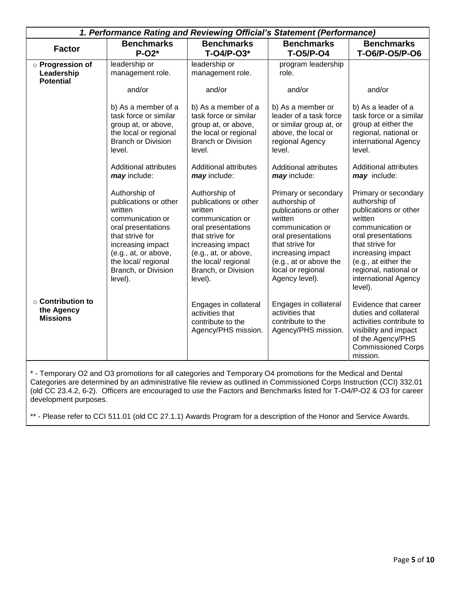|                                                          | 1. Performance Rating and Reviewing Official's Statement (Performance)                                                                                                                                               |                                                                                                                                                                                                                      |                                                                                                                                                                                                                              |                                                                                                                                                                                                                                                 |  |  |
|----------------------------------------------------------|----------------------------------------------------------------------------------------------------------------------------------------------------------------------------------------------------------------------|----------------------------------------------------------------------------------------------------------------------------------------------------------------------------------------------------------------------|------------------------------------------------------------------------------------------------------------------------------------------------------------------------------------------------------------------------------|-------------------------------------------------------------------------------------------------------------------------------------------------------------------------------------------------------------------------------------------------|--|--|
| <b>Factor</b>                                            | <b>Benchmarks</b><br>$P-O2*$                                                                                                                                                                                         | <b>Benchmarks</b><br>T-04/P-03*                                                                                                                                                                                      | <b>Benchmarks</b><br><b>T-05/P-04</b>                                                                                                                                                                                        | <b>Benchmarks</b><br>T-06/P-05/P-06                                                                                                                                                                                                             |  |  |
| o Progression of<br>Leadership<br><b>Potential</b>       | leadership or<br>management role.                                                                                                                                                                                    | leadership or<br>management role.                                                                                                                                                                                    | program leadership<br>role.                                                                                                                                                                                                  |                                                                                                                                                                                                                                                 |  |  |
|                                                          | and/or                                                                                                                                                                                                               | and/or                                                                                                                                                                                                               | and/or                                                                                                                                                                                                                       | and/or                                                                                                                                                                                                                                          |  |  |
|                                                          | b) As a member of a<br>task force or similar<br>group at, or above,<br>the local or regional<br><b>Branch or Division</b><br>level.                                                                                  | b) As a member of a<br>task force or similar<br>group at, or above,<br>the local or regional<br><b>Branch or Division</b><br>level.                                                                                  | b) As a member or<br>leader of a task force<br>or similar group at, or<br>above, the local or<br>regional Agency<br>level.                                                                                                   | b) As a leader of a<br>task force or a similar<br>group at either the<br>regional, national or<br>international Agency<br>level.                                                                                                                |  |  |
|                                                          | <b>Additional attributes</b><br>may include:                                                                                                                                                                         | Additional attributes<br>may include:                                                                                                                                                                                | <b>Additional attributes</b><br>may include:                                                                                                                                                                                 | <b>Additional attributes</b><br>may include:                                                                                                                                                                                                    |  |  |
|                                                          | Authorship of<br>publications or other<br>written<br>communication or<br>oral presentations<br>that strive for<br>increasing impact<br>(e.g., at, or above,<br>the local/ regional<br>Branch, or Division<br>level). | Authorship of<br>publications or other<br>written<br>communication or<br>oral presentations<br>that strive for<br>increasing impact<br>(e.g., at, or above,<br>the local/ regional<br>Branch, or Division<br>level). | Primary or secondary<br>authorship of<br>publications or other<br>written<br>communication or<br>oral presentations<br>that strive for<br>increasing impact<br>(e.g., at or above the<br>local or regional<br>Agency level). | Primary or secondary<br>authorship of<br>publications or other<br>written<br>communication or<br>oral presentations<br>that strive for<br>increasing impact<br>(e.g., at either the<br>regional, national or<br>international Agency<br>level). |  |  |
| $\circ$ Contribution to<br>the Agency<br><b>Missions</b> |                                                                                                                                                                                                                      | Engages in collateral<br>activities that<br>contribute to the<br>Agency/PHS mission.                                                                                                                                 | Engages in collateral<br>activities that<br>contribute to the<br>Agency/PHS mission.                                                                                                                                         | Evidence that career<br>duties and collateral<br>activities contribute to<br>visibility and impact<br>of the Agency/PHS<br><b>Commissioned Corps</b><br>mission.                                                                                |  |  |

\* - Temporary O2 and O3 promotions for all categories and Temporary O4 promotions for the Medical and Dental Categories are determined by an administrative file review as outlined in Commissioned Corps Instruction (CCI) 332.01 (old CC 23.4.2, 6-2). Officers are encouraged to use the Factors and Benchmarks listed for T-O4/P-O2 & O3 for career development purposes.

\*\* - Please refer to CCI 511.01 (old CC 27.1.1) Awards Program for a description of the Honor and Service Awards.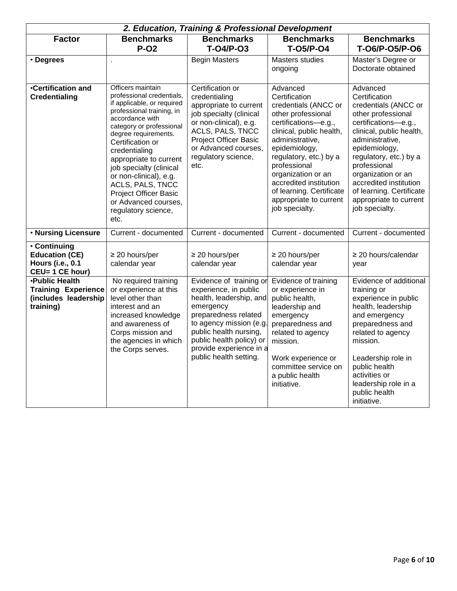| 2. Education, Training & Professional Development                                        |                                                                                                                                                                                                                                                                                                                                                                                                                 |                                                                                                                                                                                                                                                        |                                                                                                                                                                                                                                                                                                                                   |                                                                                                                                                                                                                                                                                                                                   |  |
|------------------------------------------------------------------------------------------|-----------------------------------------------------------------------------------------------------------------------------------------------------------------------------------------------------------------------------------------------------------------------------------------------------------------------------------------------------------------------------------------------------------------|--------------------------------------------------------------------------------------------------------------------------------------------------------------------------------------------------------------------------------------------------------|-----------------------------------------------------------------------------------------------------------------------------------------------------------------------------------------------------------------------------------------------------------------------------------------------------------------------------------|-----------------------------------------------------------------------------------------------------------------------------------------------------------------------------------------------------------------------------------------------------------------------------------------------------------------------------------|--|
| <b>Factor</b>                                                                            | <b>Benchmarks</b><br>$P-O2$                                                                                                                                                                                                                                                                                                                                                                                     | <b>Benchmarks</b><br><b>T-O4/P-O3</b>                                                                                                                                                                                                                  | <b>Benchmarks</b><br><b>T-05/P-04</b>                                                                                                                                                                                                                                                                                             | <b>Benchmarks</b><br>T-06/P-05/P-06                                                                                                                                                                                                                                                                                               |  |
| · Degrees                                                                                | ä,                                                                                                                                                                                                                                                                                                                                                                                                              | <b>Begin Masters</b>                                                                                                                                                                                                                                   | <b>Masters studies</b><br>ongoing                                                                                                                                                                                                                                                                                                 | Master's Degree or<br>Doctorate obtained                                                                                                                                                                                                                                                                                          |  |
| <b>Certification and</b><br><b>Credentialing</b>                                         | Officers maintain<br>professional credentials,<br>if applicable, or required<br>professional training, in<br>accordance with<br>category or professional<br>degree requirements.<br>Certification or<br>credentialing<br>appropriate to current<br>job specialty (clinical<br>or non-clinical), e.g.<br>ACLS, PALS, TNCC<br><b>Project Officer Basic</b><br>or Advanced courses,<br>regulatory science,<br>etc. | Certification or<br>credentialing<br>appropriate to current<br>job specialty (clinical<br>or non-clinical), e.g.<br>ACLS, PALS, TNCC<br><b>Project Officer Basic</b><br>or Advanced courses,<br>regulatory science,<br>etc.                            | Advanced<br>Certification<br>credentials (ANCC or<br>other professional<br>certifications-e.g.,<br>clinical, public health,<br>administrative,<br>epidemiology,<br>regulatory, etc.) by a<br>professional<br>organization or an<br>accredited institution<br>of learning. Certificate<br>appropriate to current<br>job specialty. | Advanced<br>Certification<br>credentials (ANCC or<br>other professional<br>certifications-e.g.,<br>clinical, public health,<br>administrative,<br>epidemiology,<br>regulatory, etc.) by a<br>professional<br>organization or an<br>accredited institution<br>of learning. Certificate<br>appropriate to current<br>job specialty. |  |
| . Nursing Licensure                                                                      | Current - documented                                                                                                                                                                                                                                                                                                                                                                                            | Current - documented                                                                                                                                                                                                                                   | Current - documented                                                                                                                                                                                                                                                                                                              | Current - documented                                                                                                                                                                                                                                                                                                              |  |
| • Continuing<br><b>Education (CE)</b><br><b>Hours (i.e., 0.1</b><br>CEU= 1 CE hour)      | $\geq$ 20 hours/per<br>calendar year                                                                                                                                                                                                                                                                                                                                                                            | $\geq$ 20 hours/per<br>calendar year                                                                                                                                                                                                                   | $\geq$ 20 hours/per<br>calendar year                                                                                                                                                                                                                                                                                              | $\geq$ 20 hours/calendar<br>year                                                                                                                                                                                                                                                                                                  |  |
| <b>.Public Health</b><br><b>Training Experience</b><br>(includes leadership<br>training) | No required training<br>or experience at this<br>level other than<br>interest and an<br>increased knowledge<br>and awareness of<br>Corps mission and<br>the agencies in which<br>the Corps serves.                                                                                                                                                                                                              | Evidence of training or<br>experience, in public<br>health, leadership, and<br>emergency<br>preparedness related<br>to agency mission (e.g.<br>public health nursing,<br>public health policy) or<br>provide experience in a<br>public health setting. | Evidence of training<br>or experience in<br>public health,<br>leadership and<br>emergency<br>preparedness and<br>related to agency<br>mission.<br>Work experience or<br>committee service on<br>a public health<br>initiative.                                                                                                    | Evidence of additional<br>training or<br>experience in public<br>health, leadership<br>and emergency<br>preparedness and<br>related to agency<br>mission.<br>Leadership role in<br>public health<br>activities or<br>leadership role in a<br>public health<br>initiative.                                                         |  |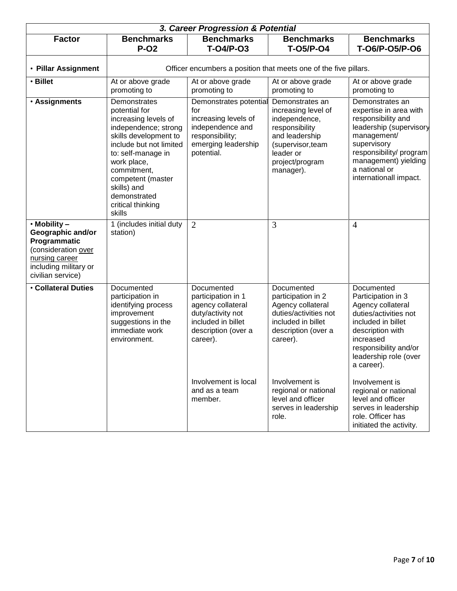|                                                                                                                                                | 3. Career Progression & Potential                                                                                                                                                                                                                                        |                                                                                                                                     |                                                                                                                                                               |                                                                                                                                                                                                                       |  |
|------------------------------------------------------------------------------------------------------------------------------------------------|--------------------------------------------------------------------------------------------------------------------------------------------------------------------------------------------------------------------------------------------------------------------------|-------------------------------------------------------------------------------------------------------------------------------------|---------------------------------------------------------------------------------------------------------------------------------------------------------------|-----------------------------------------------------------------------------------------------------------------------------------------------------------------------------------------------------------------------|--|
| <b>Factor</b>                                                                                                                                  | <b>Benchmarks</b><br><b>P-02</b>                                                                                                                                                                                                                                         | <b>Benchmarks</b><br>T-04/P-03                                                                                                      | <b>Benchmarks</b><br><b>T-05/P-04</b>                                                                                                                         | <b>Benchmarks</b><br>T-06/P-05/P-06                                                                                                                                                                                   |  |
| • Pillar Assignment                                                                                                                            | Officer encumbers a position that meets one of the five pillars.                                                                                                                                                                                                         |                                                                                                                                     |                                                                                                                                                               |                                                                                                                                                                                                                       |  |
| • Billet                                                                                                                                       | At or above grade<br>promoting to                                                                                                                                                                                                                                        | At or above grade<br>promoting to                                                                                                   | At or above grade<br>promoting to                                                                                                                             | At or above grade<br>promoting to                                                                                                                                                                                     |  |
| · Assignments                                                                                                                                  | Demonstrates<br>potential for<br>increasing levels of<br>independence; strong<br>skills development to<br>include but not limited<br>to: self-manage in<br>work place,<br>commitment,<br>competent (master<br>skills) and<br>demonstrated<br>critical thinking<br>skills | Demonstrates potential<br>for<br>increasing levels of<br>independence and<br>responsibility;<br>emerging leadership<br>potential.   | Demonstrates an<br>increasing level of<br>independence,<br>responsibility<br>and leadership<br>(supervisor, team<br>leader or<br>project/program<br>manager). | Demonstrates an<br>expertise in area with<br>responsibility and<br>leadership (supervisory<br>management/<br>supervisory<br>responsibility/program<br>management) yielding<br>a national or<br>internationall impact. |  |
| $\cdot$ Mobility –<br>Geographic and/or<br>Programmatic<br>(consideration over<br>nursing career<br>including military or<br>civilian service) | 1 (includes initial duty<br>station)                                                                                                                                                                                                                                     | $\overline{2}$                                                                                                                      | 3                                                                                                                                                             | $\overline{4}$                                                                                                                                                                                                        |  |
| <b>Collateral Duties</b>                                                                                                                       | Documented<br>participation in<br>identifying process<br>improvement<br>suggestions in the<br>immediate work<br>environment.                                                                                                                                             | Documented<br>participation in 1<br>agency collateral<br>duty/activity not<br>included in billet<br>description (over a<br>career). | Documented<br>participation in 2<br>Agency collateral<br>duties/activities not<br>included in billet<br>description (over a<br>career).                       | Documented<br>Participation in 3<br>Agency collateral<br>duties/activities not<br>included in billet<br>description with<br>increased<br>responsibility and/or<br>leadership role (over<br>a career).                 |  |
|                                                                                                                                                |                                                                                                                                                                                                                                                                          | Involvement is local<br>and as a team<br>member.                                                                                    | Involvement is<br>regional or national<br>level and officer<br>serves in leadership<br>role.                                                                  | Involvement is<br>regional or national<br>level and officer<br>serves in leadership<br>role. Officer has<br>initiated the activity.                                                                                   |  |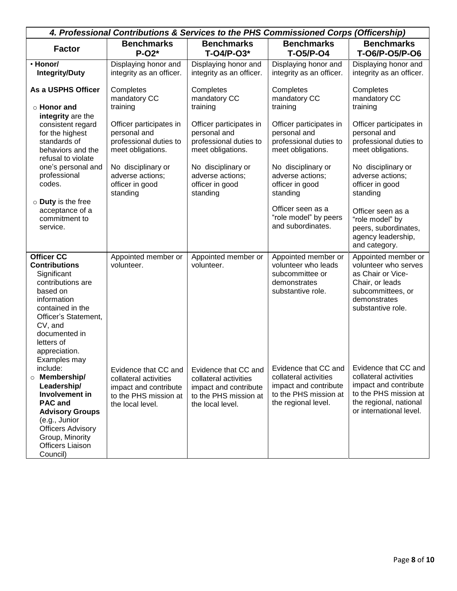| 4. Professional Contributions & Services to the PHS Commissioned Corps (Officership)                         |                                                                    |                                                |                                               |                                        |  |
|--------------------------------------------------------------------------------------------------------------|--------------------------------------------------------------------|------------------------------------------------|-----------------------------------------------|----------------------------------------|--|
| <b>Factor</b>                                                                                                | <b>Benchmarks</b>                                                  | <b>Benchmarks</b>                              | <b>Benchmarks</b>                             | <b>Benchmarks</b>                      |  |
|                                                                                                              | $P-O2*$                                                            | T-04/P-03*                                     | <b>T-05/P-04</b>                              | T-06/P-05/P-06                         |  |
| · Honor/                                                                                                     | Displaying honor and                                               | Displaying honor and                           | Displaying honor and                          | Displaying honor and                   |  |
| <b>Integrity/Duty</b>                                                                                        | integrity as an officer.                                           | integrity as an officer.                       | integrity as an officer.                      | integrity as an officer.               |  |
|                                                                                                              |                                                                    |                                                |                                               |                                        |  |
| As a USPHS Officer                                                                                           | Completes<br>mandatory CC                                          | Completes<br>mandatory CC                      | Completes<br>mandatory CC                     | Completes<br>mandatory CC              |  |
| $\circ$ Honor and                                                                                            | training                                                           | training                                       | training                                      | training                               |  |
| integrity are the                                                                                            |                                                                    |                                                |                                               |                                        |  |
| consistent regard                                                                                            | Officer participates in                                            | Officer participates in                        | Officer participates in                       | Officer participates in                |  |
| for the highest                                                                                              | personal and                                                       | personal and                                   | personal and                                  | personal and                           |  |
| standards of                                                                                                 | professional duties to                                             | professional duties to                         | professional duties to                        | professional duties to                 |  |
| behaviors and the                                                                                            | meet obligations.                                                  | meet obligations.                              | meet obligations.                             | meet obligations.                      |  |
| refusal to violate                                                                                           |                                                                    |                                                |                                               |                                        |  |
| one's personal and<br>professional                                                                           | No disciplinary or<br>adverse actions;                             | No disciplinary or<br>adverse actions:         | No disciplinary or<br>adverse actions;        | No disciplinary or<br>adverse actions: |  |
| codes.                                                                                                       | officer in good                                                    | officer in good                                | officer in good                               | officer in good                        |  |
|                                                                                                              | standing                                                           | standing                                       | standing                                      | standing                               |  |
| $\circ$ Duty is the free                                                                                     |                                                                    |                                                |                                               |                                        |  |
| acceptance of a                                                                                              |                                                                    |                                                | Officer seen as a                             | Officer seen as a                      |  |
| commitment to                                                                                                |                                                                    |                                                | "role model" by peers                         | "role model" by                        |  |
| service.                                                                                                     |                                                                    |                                                | and subordinates.                             | peers, subordinates,                   |  |
|                                                                                                              |                                                                    |                                                |                                               | agency leadership,                     |  |
|                                                                                                              |                                                                    |                                                |                                               | and category.                          |  |
| <b>Officer CC</b>                                                                                            | Appointed member or                                                | Appointed member or                            | Appointed member or                           | Appointed member or                    |  |
| <b>Contributions</b>                                                                                         | volunteer.                                                         | volunteer.                                     | volunteer who leads                           | volunteer who serves                   |  |
| Significant                                                                                                  |                                                                    |                                                | subcommittee or                               | as Chair or Vice-                      |  |
| contributions are<br>based on                                                                                |                                                                    |                                                | demonstrates<br>substantive role.             | Chair, or leads<br>subcommittees, or   |  |
| information                                                                                                  |                                                                    |                                                |                                               | demonstrates                           |  |
| contained in the                                                                                             |                                                                    |                                                |                                               | substantive role.                      |  |
| Officer's Statement,                                                                                         |                                                                    |                                                |                                               |                                        |  |
| CV, and                                                                                                      |                                                                    |                                                |                                               |                                        |  |
| documented in                                                                                                |                                                                    |                                                |                                               |                                        |  |
| letters of                                                                                                   |                                                                    |                                                |                                               |                                        |  |
| appreciation.                                                                                                |                                                                    |                                                |                                               |                                        |  |
| Examples may                                                                                                 |                                                                    |                                                |                                               | Evidence that CC and                   |  |
| include:<br>Membership/                                                                                      | Evidence that CC and                                               | Evidence that CC and                           | Evidence that CC and<br>collateral activities | collateral activities                  |  |
| $\circ$                                                                                                      | collateral activities                                              | collateral activities                          | impact and contribute                         | impact and contribute                  |  |
|                                                                                                              |                                                                    |                                                |                                               |                                        |  |
| <b>PAC and</b>                                                                                               |                                                                    | the local level.                               | the regional level.                           | the regional, national                 |  |
| <b>Advisory Groups</b>                                                                                       |                                                                    |                                                |                                               | or international level.                |  |
| (e.g., Junior                                                                                                |                                                                    |                                                |                                               |                                        |  |
|                                                                                                              |                                                                    |                                                |                                               |                                        |  |
|                                                                                                              |                                                                    |                                                |                                               |                                        |  |
|                                                                                                              |                                                                    |                                                |                                               |                                        |  |
| Leadership/<br>Involvement in<br><b>Officers Advisory</b><br>Group, Minority<br>Officers Liaison<br>Council) | impact and contribute<br>to the PHS mission at<br>the local level. | impact and contribute<br>to the PHS mission at | to the PHS mission at                         | to the PHS mission at                  |  |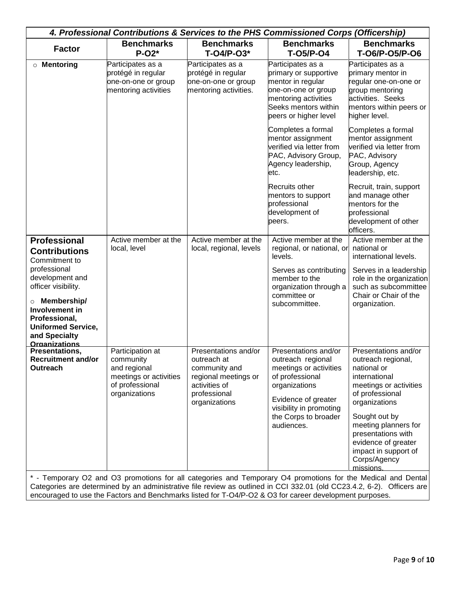| 4. Professional Contributions & Services to the PHS Commissioned Corps (Officership)                                                                                                                                                             |                                                                                                             |                                                                                                                                |                                                                                                                                                                                                 |                                                                                                                                                                                                                                                                                     |  |
|--------------------------------------------------------------------------------------------------------------------------------------------------------------------------------------------------------------------------------------------------|-------------------------------------------------------------------------------------------------------------|--------------------------------------------------------------------------------------------------------------------------------|-------------------------------------------------------------------------------------------------------------------------------------------------------------------------------------------------|-------------------------------------------------------------------------------------------------------------------------------------------------------------------------------------------------------------------------------------------------------------------------------------|--|
| <b>Factor</b>                                                                                                                                                                                                                                    | <b>Benchmarks</b>                                                                                           | <b>Benchmarks</b>                                                                                                              | <b>Benchmarks</b>                                                                                                                                                                               | <b>Benchmarks</b>                                                                                                                                                                                                                                                                   |  |
|                                                                                                                                                                                                                                                  | $P-O2*$                                                                                                     | $T-O4/P-O3*$                                                                                                                   | <b>T-05/P-04</b>                                                                                                                                                                                | T-06/P-05/P-06                                                                                                                                                                                                                                                                      |  |
| <b>O</b> Mentoring                                                                                                                                                                                                                               | Participates as a<br>protégé in regular<br>one-on-one or group<br>mentoring activities                      | Participates as a<br>protégé in regular<br>one-on-one or group<br>mentoring activities.                                        | Participates as a<br>primary or supportive<br>mentor in regular<br>one-on-one or group<br>mentoring activities<br>Seeks mentors within<br>peers or higher level                                 | Participates as a<br>primary mentor in<br>regular one-on-one or<br>group mentoring<br>activities. Seeks<br>mentors within peers or<br>higher level.                                                                                                                                 |  |
|                                                                                                                                                                                                                                                  |                                                                                                             |                                                                                                                                | Completes a formal<br>mentor assignment<br>verified via letter from<br>PAC, Advisory Group,<br>Agency leadership,<br>etc.                                                                       | Completes a formal<br>mentor assignment<br>verified via letter from<br>PAC, Advisory<br>Group, Agency<br>leadership, etc.                                                                                                                                                           |  |
|                                                                                                                                                                                                                                                  |                                                                                                             |                                                                                                                                | Recruits other<br>mentors to support<br>professional<br>development of<br>peers.                                                                                                                | Recruit, train, support<br>and manage other<br>mentors for the<br>professional<br>development of other<br>officers.                                                                                                                                                                 |  |
| <b>Professional</b><br><b>Contributions</b><br>Commitment to<br>professional<br>development and<br>officer visibility.<br><b>O</b> Membership/<br>Involvement in<br>Professional,<br><b>Uniformed Service,</b><br>and Specialty<br>Organizations | Active member at the<br>local, level                                                                        | Active member at the<br>local, regional, levels                                                                                | Active member at the<br>regional, or national, or<br>levels.<br>Serves as contributing<br>member to the<br>organization through a<br>committee or<br>subcommittee.                              | Active member at the<br>national or<br>international levels.<br>Serves in a leadership<br>role in the organization<br>such as subcommittee<br>Chair or Chair of the<br>organization.                                                                                                |  |
| Presentations,<br><b>Recruitment and/or</b><br>Outreach                                                                                                                                                                                          | Participation at<br>community<br>and regional<br>meetings or activities<br>of professional<br>organizations | Presentations and/or<br>outreach at<br>community and<br>regional meetings or<br>activities of<br>professional<br>organizations | Presentations and/or<br>outreach regional<br>meetings or activities<br>of professional<br>organizations<br>Evidence of greater<br>visibility in promoting<br>the Corps to broader<br>audiences. | Presentations and/or<br>outreach regional,<br>national or<br>international<br>meetings or activities<br>of professional<br>organizations<br>Sought out by<br>meeting planners for<br>presentations with<br>evidence of greater<br>impact in support of<br>Corps/Agency<br>missions. |  |

\* - Temporary O2 and O3 promotions for all categories and Temporary O4 promotions for the Medical and Dental Categories are determined by an administrative file review as outlined in CCI 332.01 (old CC23.4.2, 6-2). Officers are encouraged to use the Factors and Benchmarks listed for T-O4/P-O2 & O3 for career development purposes.